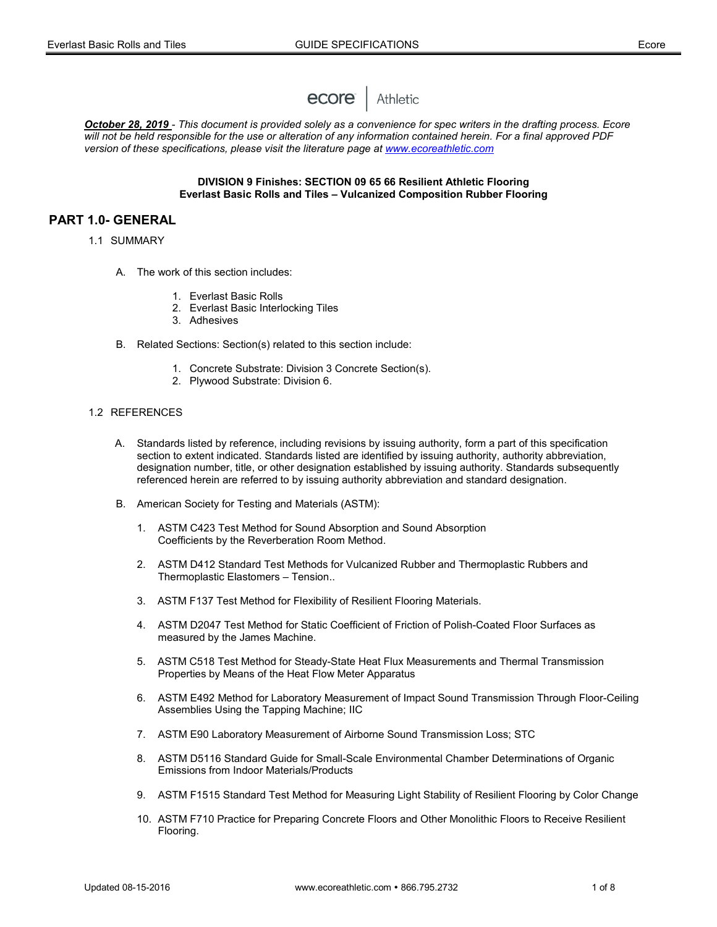

*October 28, 2019 - This document is provided solely as a convenience for spec writers in the drafting process. Ecore will not be held responsible for the use or alteration of any information contained herein. For a final approved PDF version of these specifications, please visit the literature page at [www.ecoreathletic.com](http://www.ecoreathletic.com/)*

#### **DIVISION 9 Finishes: SECTION 09 65 66 Resilient Athletic Flooring Everlast Basic Rolls and Tiles – Vulcanized Composition Rubber Flooring**

# **PART 1.0- GENERAL**

- 1.1 SUMMARY
	- A. The work of this section includes:
		- 1. Everlast Basic Rolls
		- 2. Everlast Basic Interlocking Tiles
		- 3. Adhesives
	- B. Related Sections: Section(s) related to this section include:
		- 1. Concrete Substrate: Division 3 Concrete Section(s).
		- 2. Plywood Substrate: Division 6.

# 1.2 REFERENCES

- A. Standards listed by reference, including revisions by issuing authority, form a part of this specification section to extent indicated. Standards listed are identified by issuing authority, authority abbreviation, designation number, title, or other designation established by issuing authority. Standards subsequently referenced herein are referred to by issuing authority abbreviation and standard designation.
- B. American Society for Testing and Materials (ASTM):
	- 1. ASTM C423 Test Method for Sound Absorption and Sound Absorption Coefficients by the Reverberation Room Method.
	- 2. ASTM D412 Standard Test Methods for Vulcanized Rubber and Thermoplastic Rubbers and Thermoplastic Elastomers – Tension..
	- 3. ASTM F137 Test Method for Flexibility of Resilient Flooring Materials.
	- 4. ASTM D2047 Test Method for Static Coefficient of Friction of Polish-Coated Floor Surfaces as measured by the James Machine.
	- 5. ASTM C518 Test Method for Steady-State Heat Flux Measurements and Thermal Transmission Properties by Means of the Heat Flow Meter Apparatus
	- 6. ASTM E492 Method for Laboratory Measurement of Impact Sound Transmission Through Floor-Ceiling Assemblies Using the Tapping Machine; IIC
	- 7. ASTM E90 Laboratory Measurement of Airborne Sound Transmission Loss; STC
	- 8. ASTM D5116 Standard Guide for Small-Scale Environmental Chamber Determinations of Organic Emissions from Indoor Materials/Products
	- 9. ASTM F1515 Standard Test Method for Measuring Light Stability of Resilient Flooring by Color Change
	- 10. ASTM F710 Practice for Preparing Concrete Floors and Other Monolithic Floors to Receive Resilient Flooring.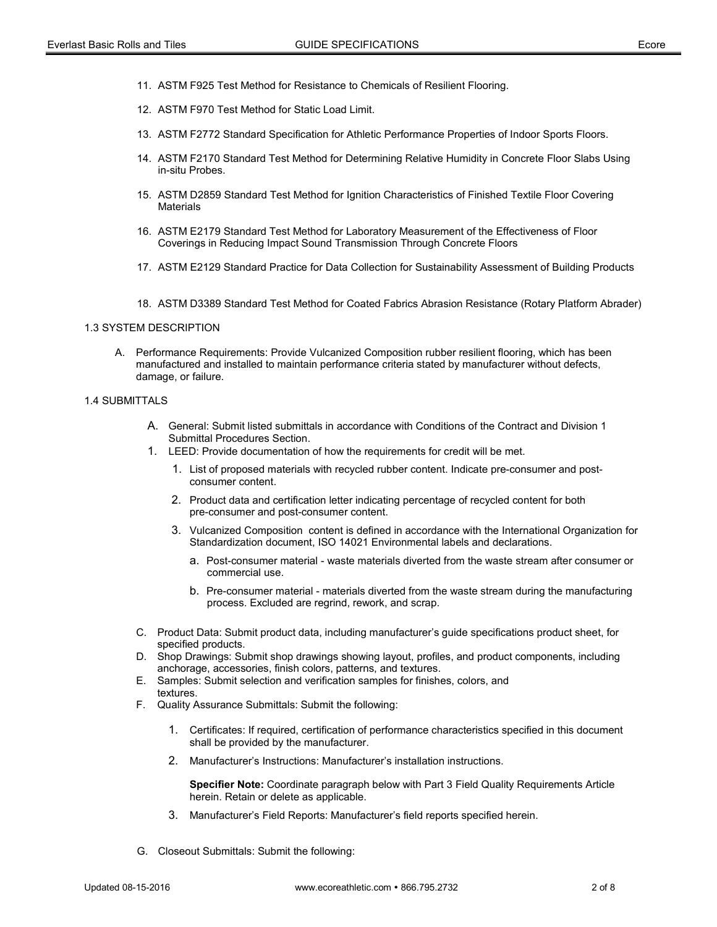- 11. ASTM F925 Test Method for Resistance to Chemicals of Resilient Flooring.
- 12. ASTM F970 Test Method for Static Load Limit.
- 13. ASTM F2772 Standard Specification for Athletic Performance Properties of Indoor Sports Floors.
- 14. ASTM F2170 Standard Test Method for Determining Relative Humidity in Concrete Floor Slabs Using in-situ Probes.
- 15. ASTM D2859 Standard Test Method for Ignition Characteristics of Finished Textile Floor Covering **Materials**
- 16. ASTM E2179 Standard Test Method for Laboratory Measurement of the Effectiveness of Floor Coverings in Reducing Impact Sound Transmission Through Concrete Floors
- 17. ASTM E2129 Standard Practice for Data Collection for Sustainability Assessment of Building Products
- 18. ASTM D3389 Standard Test Method for Coated Fabrics Abrasion Resistance (Rotary Platform Abrader)

### 1.3 SYSTEM DESCRIPTION

A. Performance Requirements: Provide Vulcanized Composition rubber resilient flooring, which has been manufactured and installed to maintain performance criteria stated by manufacturer without defects, damage, or failure.

#### 1.4 SUBMITTALS

- A. General: Submit listed submittals in accordance with Conditions of the Contract and Division 1 Submittal Procedures Section.
- 1. LEED: Provide documentation of how the requirements for credit will be met.
	- 1. List of proposed materials with recycled rubber content. Indicate pre-consumer and postconsumer content.
	- 2. Product data and certification letter indicating percentage of recycled content for both pre-consumer and post-consumer content.
	- 3. Vulcanized Composition content is defined in accordance with the International Organization for Standardization document, ISO 14021 Environmental labels and declarations.
		- a. Post-consumer material waste materials diverted from the waste stream after consumer or commercial use.
		- b. Pre-consumer material materials diverted from the waste stream during the manufacturing process. Excluded are regrind, rework, and scrap.
- C. Product Data: Submit product data, including manufacturer's guide specifications product sheet, for specified products.
- D. Shop Drawings: Submit shop drawings showing layout, profiles, and product components, including anchorage, accessories, finish colors, patterns, and textures.
- E. Samples: Submit selection and verification samples for finishes, colors, and textures.
- F. Quality Assurance Submittals: Submit the following:
	- 1. Certificates: If required, certification of performance characteristics specified in this document shall be provided by the manufacturer.
	- 2. Manufacturer's Instructions: Manufacturer's installation instructions.

**Specifier Note:** Coordinate paragraph below with Part 3 Field Quality Requirements Article herein. Retain or delete as applicable.

- 3. Manufacturer's Field Reports: Manufacturer's field reports specified herein.
- G. Closeout Submittals: Submit the following: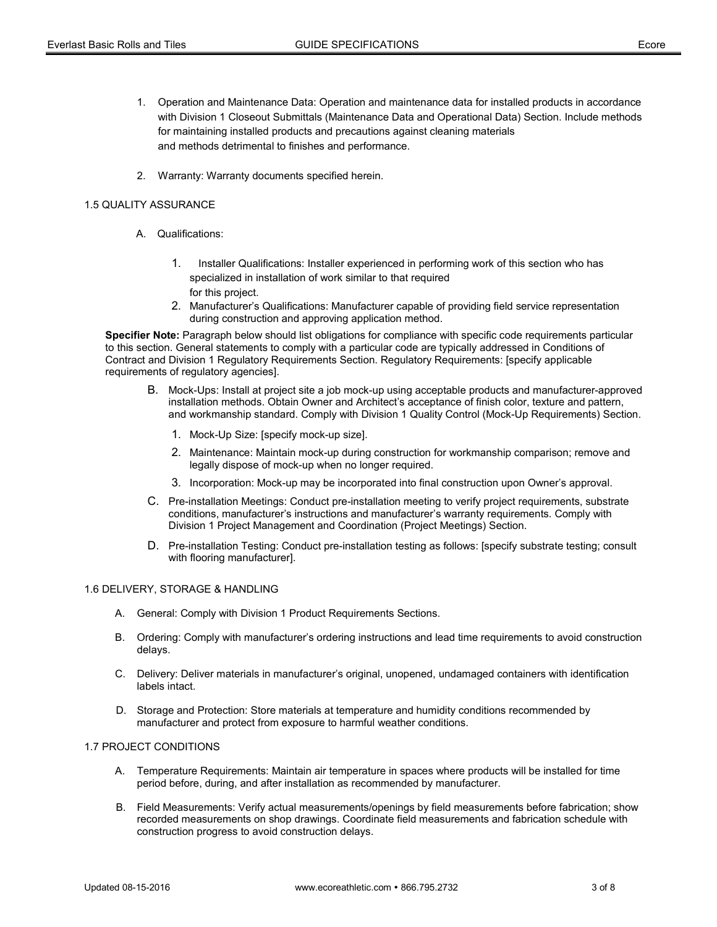- 1. Operation and Maintenance Data: Operation and maintenance data for installed products in accordance with Division 1 Closeout Submittals (Maintenance Data and Operational Data) Section. Include methods for maintaining installed products and precautions against cleaning materials and methods detrimental to finishes and performance.
- 2. Warranty: Warranty documents specified herein.

# 1.5 QUALITY ASSURANCE

- A. Qualifications:
	- 1. Installer Qualifications: Installer experienced in performing work of this section who has specialized in installation of work similar to that required for this project.
	- 2. Manufacturer's Qualifications: Manufacturer capable of providing field service representation during construction and approving application method.

**Specifier Note:** Paragraph below should list obligations for compliance with specific code requirements particular to this section. General statements to comply with a particular code are typically addressed in Conditions of Contract and Division 1 Regulatory Requirements Section. Regulatory Requirements: [specify applicable requirements of regulatory agencies].

- B. Mock-Ups: Install at project site a job mock-up using acceptable products and manufacturer-approved installation methods. Obtain Owner and Architect's acceptance of finish color, texture and pattern, and workmanship standard. Comply with Division 1 Quality Control (Mock-Up Requirements) Section.
	- 1. Mock-Up Size: [specify mock-up size].
	- 2. Maintenance: Maintain mock-up during construction for workmanship comparison; remove and legally dispose of mock-up when no longer required.
	- 3. Incorporation: Mock-up may be incorporated into final construction upon Owner's approval.
- C. Pre-installation Meetings: Conduct pre-installation meeting to verify project requirements, substrate conditions, manufacturer's instructions and manufacturer's warranty requirements. Comply with Division 1 Project Management and Coordination (Project Meetings) Section.
- D. Pre-installation Testing: Conduct pre-installation testing as follows: [specify substrate testing; consult with flooring manufacturer].

## 1.6 DELIVERY, STORAGE & HANDLING

- A. General: Comply with Division 1 Product Requirements Sections.
- B. Ordering: Comply with manufacturer's ordering instructions and lead time requirements to avoid construction delays.
- C. Delivery: Deliver materials in manufacturer's original, unopened, undamaged containers with identification labels intact.
- D. Storage and Protection: Store materials at temperature and humidity conditions recommended by manufacturer and protect from exposure to harmful weather conditions.

# 1.7 PROJECT CONDITIONS

- A. Temperature Requirements: Maintain air temperature in spaces where products will be installed for time period before, during, and after installation as recommended by manufacturer.
- B. Field Measurements: Verify actual measurements/openings by field measurements before fabrication; show recorded measurements on shop drawings. Coordinate field measurements and fabrication schedule with construction progress to avoid construction delays.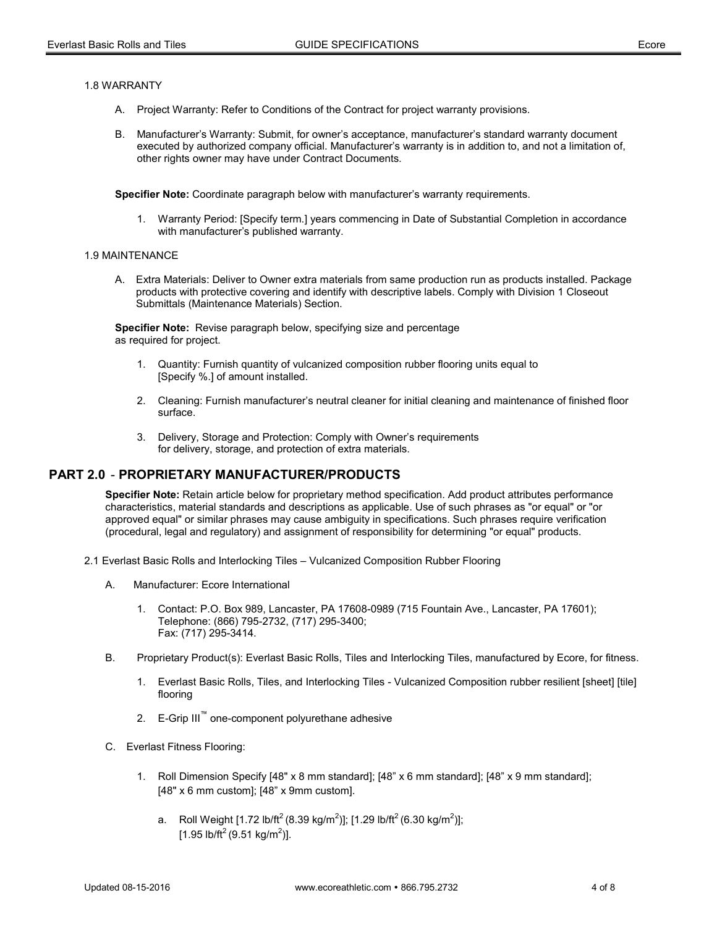### 1.8 WARRANTY

- A. Project Warranty: Refer to Conditions of the Contract for project warranty provisions.
- B. Manufacturer's Warranty: Submit, for owner's acceptance, manufacturer's standard warranty document executed by authorized company official. Manufacturer's warranty is in addition to, and not a limitation of, other rights owner may have under Contract Documents.

**Specifier Note:** Coordinate paragraph below with manufacturer's warranty requirements.

1. Warranty Period: [Specify term.] years commencing in Date of Substantial Completion in accordance with manufacturer's published warranty.

#### 1.9 MAINTENANCE

A. Extra Materials: Deliver to Owner extra materials from same production run as products installed. Package products with protective covering and identify with descriptive labels. Comply with Division 1 Closeout Submittals (Maintenance Materials) Section.

**Specifier Note:** Revise paragraph below, specifying size and percentage as required for project.

- 1. Quantity: Furnish quantity of vulcanized composition rubber flooring units equal to [Specify %.] of amount installed.
- 2. Cleaning: Furnish manufacturer's neutral cleaner for initial cleaning and maintenance of finished floor surface.
- 3. Delivery, Storage and Protection: Comply with Owner's requirements for delivery, storage, and protection of extra materials.

# **PART 2.0** - **PROPRIETARY MANUFACTURER/PRODUCTS**

**Specifier Note:** Retain article below for proprietary method specification. Add product attributes performance characteristics, material standards and descriptions as applicable. Use of such phrases as "or equal" or "or approved equal" or similar phrases may cause ambiguity in specifications. Such phrases require verification (procedural, legal and regulatory) and assignment of responsibility for determining "or equal" products.

- 2.1 Everlast Basic Rolls and Interlocking Tiles Vulcanized Composition Rubber Flooring
	- A. Manufacturer: Ecore International
		- 1. Contact: P.O. Box 989, Lancaster, PA 17608-0989 (715 Fountain Ave., Lancaster, PA 17601); Telephone: (866) 795-2732, (717) 295-3400; Fax: (717) 295-3414.
	- B. Proprietary Product(s): Everlast Basic Rolls, Tiles and Interlocking Tiles, manufactured by Ecore, for fitness.
		- 1. Everlast Basic Rolls, Tiles, and Interlocking Tiles Vulcanized Composition rubber resilient [sheet] [tile] flooring
		- 2. E-Grip III<sup>™</sup> one-component polyurethane adhesive
	- C. Everlast Fitness Flooring:
		- 1. Roll Dimension Specify [48" x 8 mm standard]; [48" x 6 mm standard]; [48" x 9 mm standard]; [48" x 6 mm custom]; [48" x 9mm custom].
			- a. Roll Weight [1.72 lb/ft<sup>2</sup> (8.39 kg/m<sup>2</sup>)]; [1.29 lb/ft<sup>2</sup> (6.30 kg/m<sup>2</sup>)]; [1.95 lb/ft<sup>2</sup> (9.51 kg/m<sup>2</sup>)].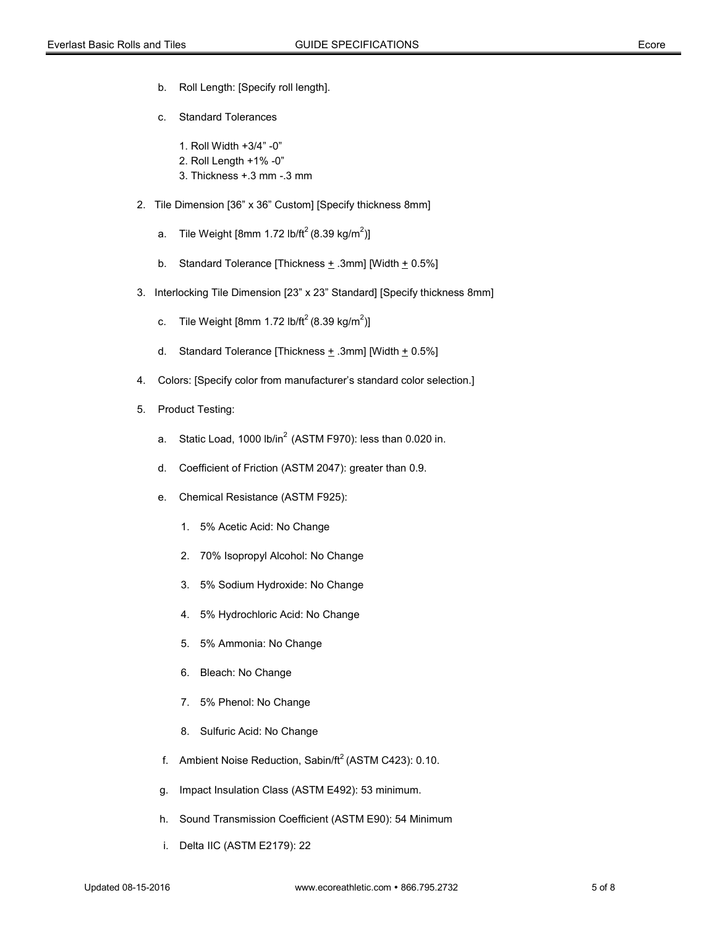- b. Roll Length: [Specify roll length].
- c. Standard Tolerances
	- 1. Roll Width +3/4" -0"
	- 2. Roll Length +1% -0"
	- 3. Thickness +.3 mm -.3 mm
- 2. Tile Dimension [36" x 36" Custom] [Specify thickness 8mm]
	- a.  $\:$  Tile Weight [8mm 1.72 lb/ft $^2$ (8.39 kg/m $^2$ )]
	- b. Standard Tolerance [Thickness  $\pm$  .3mm] [Width  $\pm$  0.5%]
- 3. Interlocking Tile Dimension [23" x 23" Standard] [Specify thickness 8mm]
	- c. Tile Weight [8mm 1.72 lb/ft $^2$ (8.39 kg/m $^2$ )]
	- d. Standard Tolerance [Thickness  $\pm$  .3mm] [Width  $\pm$  0.5%]
- 4. Colors: [Specify color from manufacturer's standard color selection.]
- 5. Product Testing:
	- a. Static Load,  $1000$  lb/in<sup>2</sup> (ASTM F970): less than  $0.020$  in.
	- d. Coefficient of Friction (ASTM 2047): greater than 0.9.
	- e. Chemical Resistance (ASTM F925):
		- 1. 5% Acetic Acid: No Change
		- 2. 70% Isopropyl Alcohol: No Change
		- 3. 5% Sodium Hydroxide: No Change
		- 4. 5% Hydrochloric Acid: No Change
		- 5. 5% Ammonia: No Change
		- 6. Bleach: No Change
		- 7. 5% Phenol: No Change
		- 8. Sulfuric Acid: No Change
	- f. Ambient Noise Reduction, Sabin/ $ft^2$  (ASTM C423): 0.10.
	- g. Impact Insulation Class (ASTM E492): 53 minimum.
	- h. Sound Transmission Coefficient (ASTM E90): 54 Minimum
	- i. Delta IIC (ASTM E2179): 22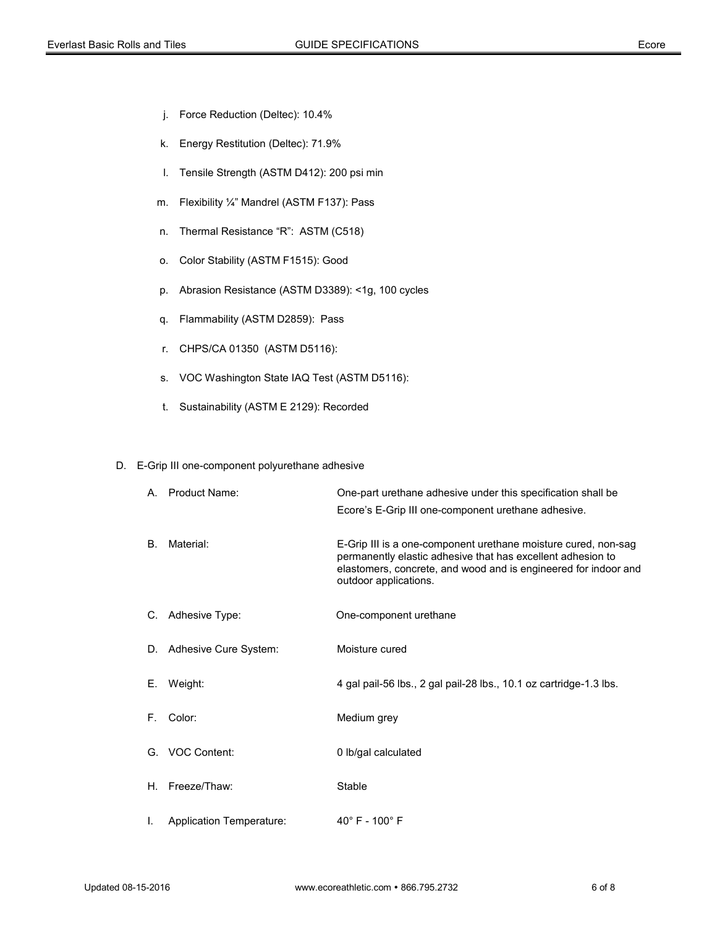- j. Force Reduction (Deltec): 10.4%
- k. Energy Restitution (Deltec): 71.9%
- l. Tensile Strength (ASTM D412): 200 psi min
- m. Flexibility ¼" Mandrel (ASTM F137): Pass
- n. Thermal Resistance "R": ASTM (C518)
- o. Color Stability (ASTM F1515): Good
- p. Abrasion Resistance (ASTM D3389): <1g, 100 cycles
- q. Flammability (ASTM D2859): Pass
- r. CHPS/CA 01350 (ASTM D5116):
- s. VOC Washington State IAQ Test (ASTM D5116):
- t. Sustainability (ASTM E 2129): Recorded

### D. E-Grip III one-component polyurethane adhesive

|    | A. Product Name:                | One-part urethane adhesive under this specification shall be<br>Ecore's E-Grip III one-component urethane adhesive.                                                                                                       |
|----|---------------------------------|---------------------------------------------------------------------------------------------------------------------------------------------------------------------------------------------------------------------------|
| B. | Material:                       | E-Grip III is a one-component urethane moisture cured, non-sag<br>permanently elastic adhesive that has excellent adhesion to<br>elastomers, concrete, and wood and is engineered for indoor and<br>outdoor applications. |
|    | C. Adhesive Type:               | One-component urethane                                                                                                                                                                                                    |
|    | D. Adhesive Cure System:        | Moisture cured                                                                                                                                                                                                            |
|    | E. Weight:                      | 4 gal pail-56 lbs., 2 gal pail-28 lbs., 10.1 oz cartridge-1.3 lbs.                                                                                                                                                        |
| F. | Color:                          | Medium grey                                                                                                                                                                                                               |
| G. | VOC Content:                    | 0 lb/gal calculated                                                                                                                                                                                                       |
|    | H. Freeze/Thaw:                 | Stable                                                                                                                                                                                                                    |
| I. | <b>Application Temperature:</b> | $40^{\circ}$ F - $100^{\circ}$ F                                                                                                                                                                                          |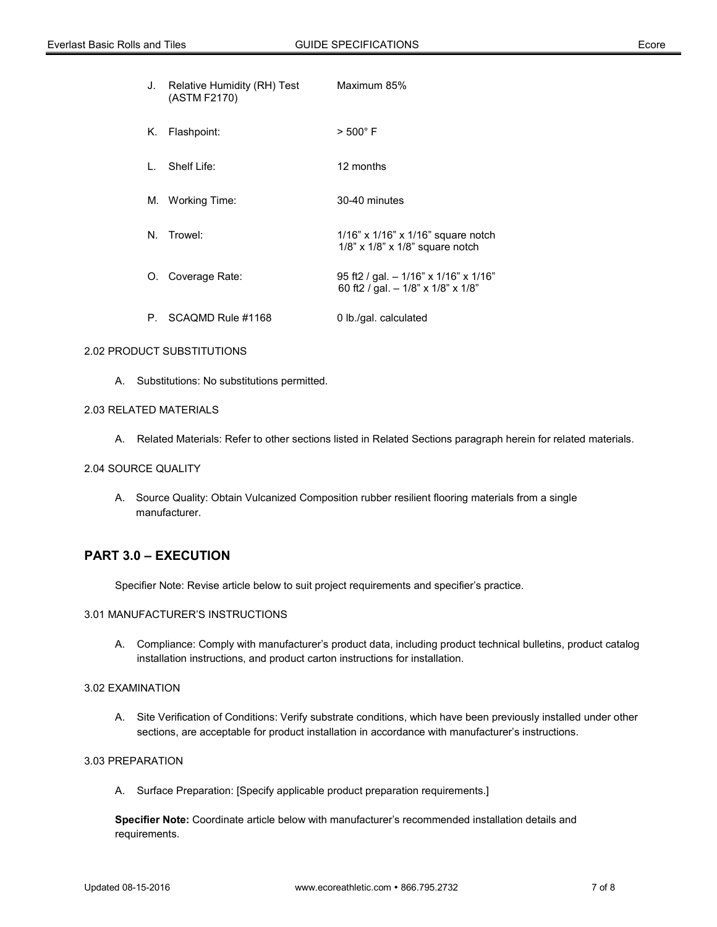|    | J. Relative Humidity (RH) Test<br>(ASTM F2170) | Maximum 85%                                                                          |
|----|------------------------------------------------|--------------------------------------------------------------------------------------|
|    | K. Flashpoint:                                 | $> 500^{\circ}$ F                                                                    |
|    | L. Shelf Life:                                 | 12 months                                                                            |
|    | M. Working Time:                               | 30-40 minutes                                                                        |
| N. | Trowel:                                        | $1/16"$ x $1/16"$ x $1/16"$ square notch<br>$1/8$ " x $1/8$ " x $1/8$ " square notch |
|    | O. Coverage Rate:                              | 95 ft2 / gal. $-1/16$ " x 1/16" x 1/16"<br>60 ft2 / gal. - 1/8" x 1/8" x 1/8"        |
|    | P. SCAQMD Rule #1168                           | 0 lb./gal. calculated                                                                |

#### 2.02 PRODUCT SUBSTITUTIONS

A. Substitutions: No substitutions permitted.

# 2.03 RELATED MATERIALS

A. Related Materials: Refer to other sections listed in Related Sections paragraph herein for related materials.

#### 2.04 SOURCE QUALITY

A. Source Quality: Obtain Vulcanized Composition rubber resilient flooring materials from a single manufacturer.

# **PART 3.0 – EXECUTION**

Specifier Note: Revise article below to suit project requirements and specifier's practice.

## 3.01 MANUFACTURER'S INSTRUCTIONS

A. Compliance: Comply with manufacturer's product data, including product technical bulletins, product catalog installation instructions, and product carton instructions for installation.

## 3.02 EXAMINATION

A. Site Verification of Conditions: Verify substrate conditions, which have been previously installed under other sections, are acceptable for product installation in accordance with manufacturer's instructions.

# 3.03 PREPARATION

A. Surface Preparation: [Specify applicable product preparation requirements.]

**Specifier Note:** Coordinate article below with manufacturer's recommended installation details and requirements.